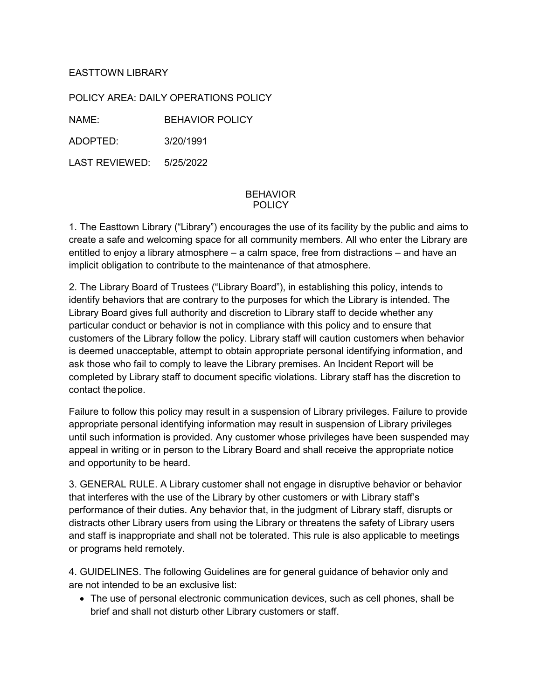## EASTTOWN LIBRARY

POLICY AREA: DAILY OPERATIONS POLICY

NAME: BEHAVIOR POLICY

ADOPTED: 3/20/1991

LAST REVIEWED: 5/25/2022

## BEHAVIOR POLICY

1. The Easttown Library ("Library") encourages the use of its facility by the public and aims to create a safe and welcoming space for all community members. All who enter the Library are entitled to enjoy a library atmosphere – a calm space, free from distractions – and have an implicit obligation to contribute to the maintenance of that atmosphere.

2. The Library Board of Trustees ("Library Board"), in establishing this policy, intends to identify behaviors that are contrary to the purposes for which the Library is intended. The Library Board gives full authority and discretion to Library staff to decide whether any particular conduct or behavior is not in compliance with this policy and to ensure that customers of the Library follow the policy. Library staff will caution customers when behavior is deemed unacceptable, attempt to obtain appropriate personal identifying information, and ask those who fail to comply to leave the Library premises. An Incident Report will be completed by Library staff to document specific violations. Library staff has the discretion to contact thepolice.

Failure to follow this policy may result in a suspension of Library privileges. Failure to provide appropriate personal identifying information may result in suspension of Library privileges until such information is provided. Any customer whose privileges have been suspended may appeal in writing or in person to the Library Board and shall receive the appropriate notice and opportunity to be heard.

3. GENERAL RULE. A Library customer shall not engage in disruptive behavior or behavior that interferes with the use of the Library by other customers or with Library staff's performance of their duties. Any behavior that, in the judgment of Library staff, disrupts or distracts other Library users from using the Library or threatens the safety of Library users and staff is inappropriate and shall not be tolerated. This rule is also applicable to meetings or programs held remotely.

4. GUIDELINES. The following Guidelines are for general guidance of behavior only and are not intended to be an exclusive list:

• The use of personal electronic communication devices, such as cell phones, shall be brief and shall not disturb other Library customers or staff.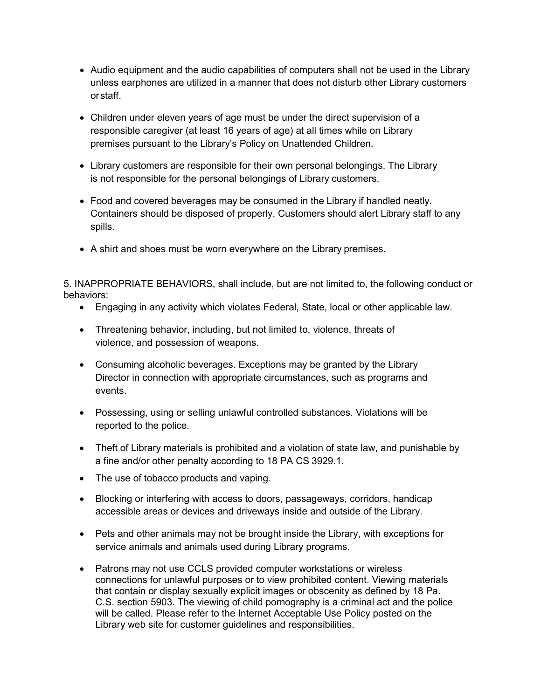- Audio equipment and the audio capabilities of computers shall not be used in the Library unless earphones are utilized in a manner that does not disturb other Library customers orstaff.
- Children under eleven years of age must be under the direct supervision of a responsible caregiver (at least 16 years of age) at all times while on Library premises pursuant to the Library's Policy on Unattended Children.
- Library customers are responsible for their own personal belongings. The Library is not responsible for the personal belongings of Library customers.
- Food and covered beverages may be consumed in the Library if handled neatly. Containers should be disposed of properly. Customers should alert Library staff to any spills.
- A shirt and shoes must be worn everywhere on the Library premises.

5. INAPPROPRIATE BEHAVIORS, shall include, but are not limited to, the following conduct or behaviors:

- Engaging in any activity which violates Federal, State, local or other applicable law.
- Threatening behavior, including, but not limited to, violence, threats of violence, and possession of weapons.
- Consuming alcoholic beverages. Exceptions may be granted by the Library Director in connection with appropriate circumstances, such as programs and events.
- Possessing, using or selling unlawful controlled substances. Violations will be reported to the police.
- Theft of Library materials is prohibited and a violation of state law, and punishable by a fine and/or other penalty according to 18 PA CS 3929.1.
- The use of tobacco products and vaping.
- Blocking or interfering with access to doors, passageways, corridors, handicap accessible areas or devices and driveways inside and outside of the Library.
- Pets and other animals may not be brought inside the Library, with exceptions for service animals and animals used during Library programs.
- Patrons may not use CCLS provided computer workstations or wireless connections for unlawful purposes or to view prohibited content. Viewing materials that contain or display sexually explicit images or obscenity as defined by 18 Pa. C.S. section 5903. The viewing of child pornography is a criminal act and the police will be called. Please refer to the Internet Acceptable Use Policy posted on the Library web site for customer guidelines and responsibilities.